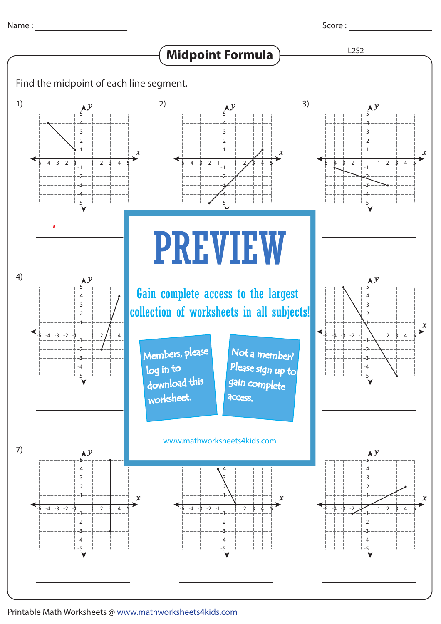